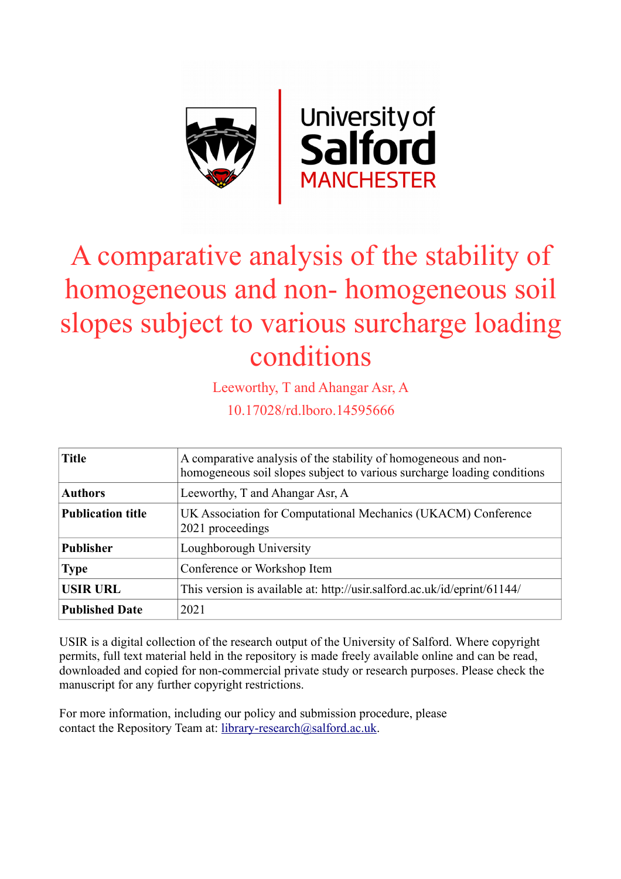

# A comparative analysis of the stability of homogeneous and non- homogeneous soil slopes subject to various surcharge loading conditions

Leeworthy, T and Ahangar Asr, A

10.17028/rd.lboro.14595666

| <b>Title</b>             | A comparative analysis of the stability of homogeneous and non-<br>homogeneous soil slopes subject to various surcharge loading conditions |
|--------------------------|--------------------------------------------------------------------------------------------------------------------------------------------|
| <b>Authors</b>           | Leeworthy, T and Ahangar Asr, A                                                                                                            |
| <b>Publication title</b> | UK Association for Computational Mechanics (UKACM) Conference<br>2021 proceedings                                                          |
| <b>Publisher</b>         | Loughborough University                                                                                                                    |
| <b>Type</b>              | Conference or Workshop Item                                                                                                                |
| <b>USIR URL</b>          | This version is available at: http://usir.salford.ac.uk/id/eprint/61144/                                                                   |
| <b>Published Date</b>    | 2021                                                                                                                                       |

USIR is a digital collection of the research output of the University of Salford. Where copyright permits, full text material held in the repository is made freely available online and can be read, downloaded and copied for non-commercial private study or research purposes. Please check the manuscript for any further copyright restrictions.

For more information, including our policy and submission procedure, please contact the Repository Team at: [library-research@salford.ac.uk.](mailto:library-research@salford.ac.uk)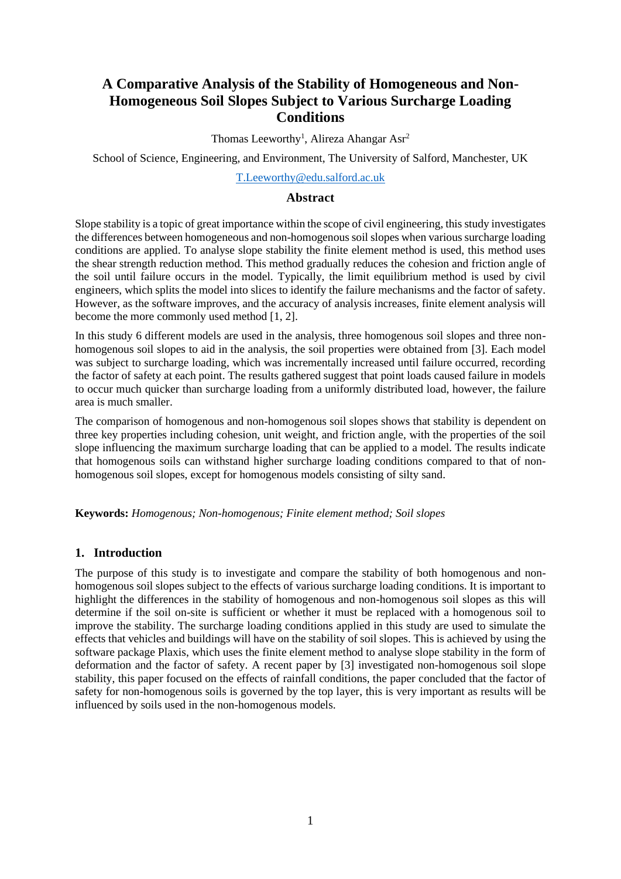## **A Comparative Analysis of the Stability of Homogeneous and Non-Homogeneous Soil Slopes Subject to Various Surcharge Loading Conditions**

Thomas Leeworthy<sup>1</sup>, Alireza Ahangar Asr<sup>2</sup>

School of Science, Engineering, and Environment, The University of Salford, Manchester, UK

#### [T.Leeworthy@edu.salford.ac.uk](mailto:T.Leeworthy@edu.salford.ac.uk)

#### **Abstract**

Slope stability is a topic of great importance within the scope of civil engineering, this study investigates the differences between homogeneous and non-homogenous soil slopes when various surcharge loading conditions are applied. To analyse slope stability the finite element method is used, this method uses the shear strength reduction method. This method gradually reduces the cohesion and friction angle of the soil until failure occurs in the model. Typically, the limit equilibrium method is used by civil engineers, which splits the model into slices to identify the failure mechanisms and the factor of safety. However, as the software improves, and the accuracy of analysis increases, finite element analysis will become the more commonly used method [1, 2].

In this study 6 different models are used in the analysis, three homogenous soil slopes and three nonhomogenous soil slopes to aid in the analysis, the soil properties were obtained from [3]. Each model was subject to surcharge loading, which was incrementally increased until failure occurred, recording the factor of safety at each point. The results gathered suggest that point loads caused failure in models to occur much quicker than surcharge loading from a uniformly distributed load, however, the failure area is much smaller.

The comparison of homogenous and non-homogenous soil slopes shows that stability is dependent on three key properties including cohesion, unit weight, and friction angle, with the properties of the soil slope influencing the maximum surcharge loading that can be applied to a model. The results indicate that homogenous soils can withstand higher surcharge loading conditions compared to that of nonhomogenous soil slopes, except for homogenous models consisting of silty sand.

**Keywords:** *Homogenous; Non-homogenous; Finite element method; Soil slopes*

#### **1. Introduction**

The purpose of this study is to investigate and compare the stability of both homogenous and nonhomogenous soil slopes subject to the effects of various surcharge loading conditions. It is important to highlight the differences in the stability of homogenous and non-homogenous soil slopes as this will determine if the soil on-site is sufficient or whether it must be replaced with a homogenous soil to improve the stability. The surcharge loading conditions applied in this study are used to simulate the effects that vehicles and buildings will have on the stability of soil slopes. This is achieved by using the software package Plaxis, which uses the finite element method to analyse slope stability in the form of deformation and the factor of safety. A recent paper by [3] investigated non-homogenous soil slope stability, this paper focused on the effects of rainfall conditions, the paper concluded that the factor of safety for non-homogenous soils is governed by the top layer, this is very important as results will be influenced by soils used in the non-homogenous models.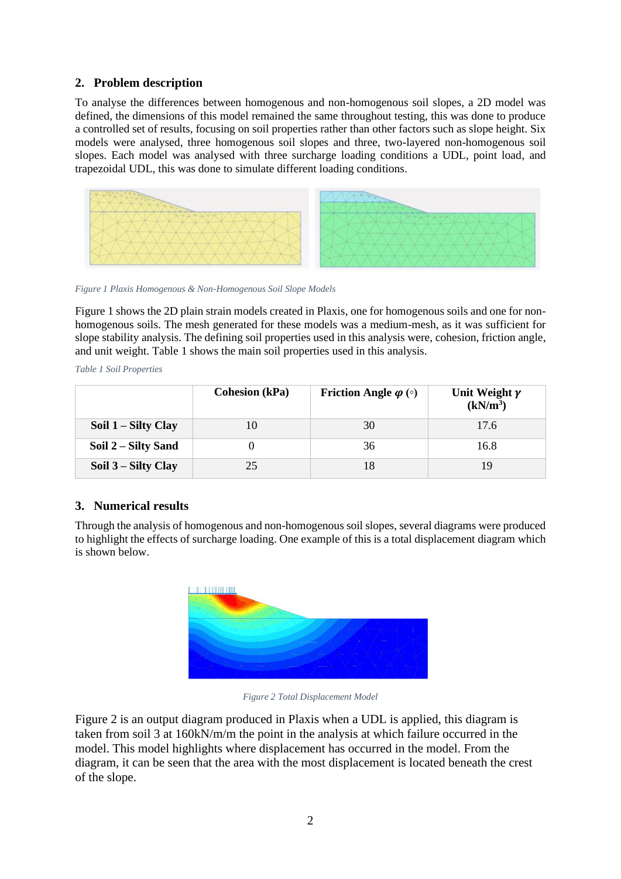## **2. Problem description**

To analyse the differences between homogenous and non-homogenous soil slopes, a 2D model was defined, the dimensions of this model remained the same throughout testing, this was done to produce a controlled set of results, focusing on soil properties rather than other factors such as slope height. Six models were analysed, three homogenous soil slopes and three, two-layered non-homogenous soil slopes. Each model was analysed with three surcharge loading conditions a UDL, point load, and trapezoidal UDL, this was done to simulate different loading conditions.



*Figure 1 Plaxis Homogenous & Non-Homogenous Soil Slope Models*

Figure 1 shows the 2D plain strain models created in Plaxis, one for homogenous soils and one for nonhomogenous soils. The mesh generated for these models was a medium-mesh, as it was sufficient for slope stability analysis. The defining soil properties used in this analysis were, cohesion, friction angle, and unit weight. Table 1 shows the main soil properties used in this analysis.

*Table 1 Soil Properties*

|                     | <b>Cohesion</b> (kPa) | <b>Friction Angle <math>\varphi</math></b> ( $\circ$ ) | Unit Weight $\gamma$<br>(kN/m <sup>3</sup> ) |
|---------------------|-----------------------|--------------------------------------------------------|----------------------------------------------|
| Soil 1 – Silty Clay | 10                    | 30                                                     | 17.6                                         |
| Soil 2 – Silty Sand |                       | 36                                                     | 16.8                                         |
| Soil 3 – Silty Clay | 25                    | 18                                                     |                                              |

## **3. Numerical results**

Through the analysis of homogenous and non-homogenous soil slopes, several diagrams were produced to highlight the effects of surcharge loading. One example of this is a total displacement diagram which is shown below.



*Figure 2 Total Displacement Model*

Figure 2 is an output diagram produced in Plaxis when a UDL is applied, this diagram is taken from soil 3 at 160kN/m/m the point in the analysis at which failure occurred in the model. This model highlights where displacement has occurred in the model. From the diagram, it can be seen that the area with the most displacement is located beneath the crest of the slope.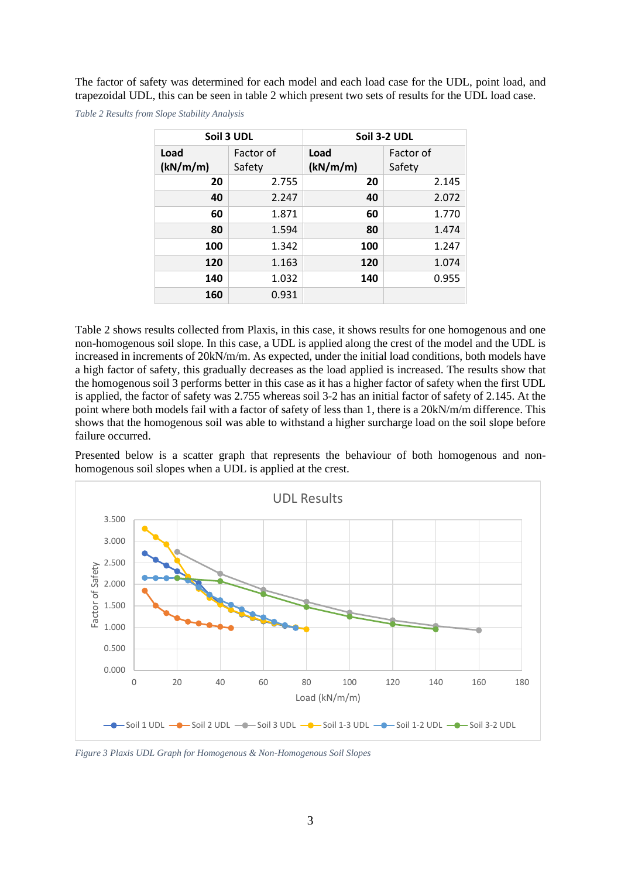The factor of safety was determined for each model and each load case for the UDL, point load, and trapezoidal UDL, this can be seen in table 2 which present two sets of results for the UDL load case.

*Table 2 Results from Slope Stability Analysis*

| Soil 3 UDL       |                     | Soil 3-2 UDL     |                     |
|------------------|---------------------|------------------|---------------------|
| Load<br>(kN/m/m) | Factor of<br>Safety | Load<br>(kN/m/m) | Factor of<br>Safety |
| 20               | 2.755               | 20               | 2.145               |
| 40               | 2.247               | 40               | 2.072               |
| 60               | 1.871               | 60               | 1.770               |
| 80               | 1.594               | 80               | 1.474               |
| 100              | 1.342               | 100              | 1.247               |
| 120              | 1.163               | 120              | 1.074               |
| 140              | 1.032               | 140              | 0.955               |
| 160              | 0.931               |                  |                     |

Table 2 shows results collected from Plaxis, in this case, it shows results for one homogenous and one non-homogenous soil slope. In this case, a UDL is applied along the crest of the model and the UDL is increased in increments of 20kN/m/m. As expected, under the initial load conditions, both models have a high factor of safety, this gradually decreases as the load applied is increased. The results show that the homogenous soil 3 performs better in this case as it has a higher factor of safety when the first UDL is applied, the factor of safety was 2.755 whereas soil 3-2 has an initial factor of safety of 2.145. At the point where both models fail with a factor of safety of less than 1, there is a 20kN/m/m difference. This shows that the homogenous soil was able to withstand a higher surcharge load on the soil slope before failure occurred.

Presented below is a scatter graph that represents the behaviour of both homogenous and nonhomogenous soil slopes when a UDL is applied at the crest.



*Figure 3 Plaxis UDL Graph for Homogenous & Non-Homogenous Soil Slopes*